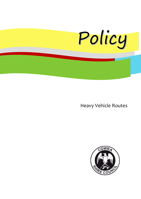

Heavy Vehicle Routes

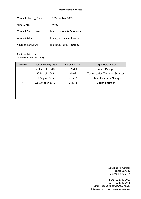| <b>Council Meeting Date</b> | 15 December 2003                  |  |
|-----------------------------|-----------------------------------|--|
| Minute No.                  | 179/03                            |  |
| <b>Council Department</b>   | Infrastructure & Operations       |  |
| <b>Contact Officer</b>      | <b>Manager-Technical Services</b> |  |
| <b>Revision Required</b>    | Biennially (or as required)       |  |

Revision History (formerly B-Double Routes)

| Version        | <b>Council Meeting Date</b> | Resolution No. | Responsible Officer                   |
|----------------|-----------------------------|----------------|---------------------------------------|
|                | 15 December 2003            | 179/03         | Road's Manager                        |
| $\overline{2}$ | 23 March 2003               | 49/09          | <b>Team Leader-Technical Services</b> |
| 3              | 27 August 2012              | 213/12         | <b>Technical Services Manager</b>     |
| $\overline{4}$ | 22 October 2012             | 251/12         | Design Engineer                       |
|                |                             |                |                                       |
|                |                             |                |                                       |
|                |                             |                |                                       |

Cowra Shire Council Private Bag 342 Cowra NSW 2794

Phone: 02 6340 2000 Fax: 02 6340 2011 Email: council@cowra.nsw.gov.au Internet: www.cowracouncil.com.au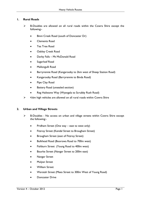## **1. Rural Roads**

- $\triangleright$  B-Doubles are allowed on all rural roads within the Cowra Shire except the following:-
	- Binni Creek Road (south of Doncaster Dr)
	- Clements Road
	- Tea Tree Road
	- Oakley Creek Road
	- Darby Falls Mt McDonald Road
	- Sugarloaf Road
	- Mallongulli Road
	- Barryrennie Road (Kangarooby to 2km west of Sheep Station Road)
	- Kangarooby Road (Barryrennie to Binda Road)
	- Pipe Clay Road
	- Battery Road (unsealed section)
	- Reg Hailstone Way (Wyangala to Scrubby Rush Road)
- 4.6m high vehicles are allowed on all rural roads within Cowra Shire

## **2. Urban and Village Streets**

- B-Doubles No access on urban and village streets within Cowra Shire except the following:-
	- Pridham Street (One way east to west only)
	- Fitzroy Street (Kendal Street to Brougham Street)
	- Brougham Street (east of Fitzroy Street)
	- Bulkhead Road (Boorowa Road to 700m west)
	- Fishburn Street (Young Road to 400m west)
	- Bourke Street (Nangar Street to 200m east)
	- Nangar Street
	- Mulyan Street
	- William Street
	- Waratah Street (Mees Street to 300m West of Young Road)
	- Doncaster Drive